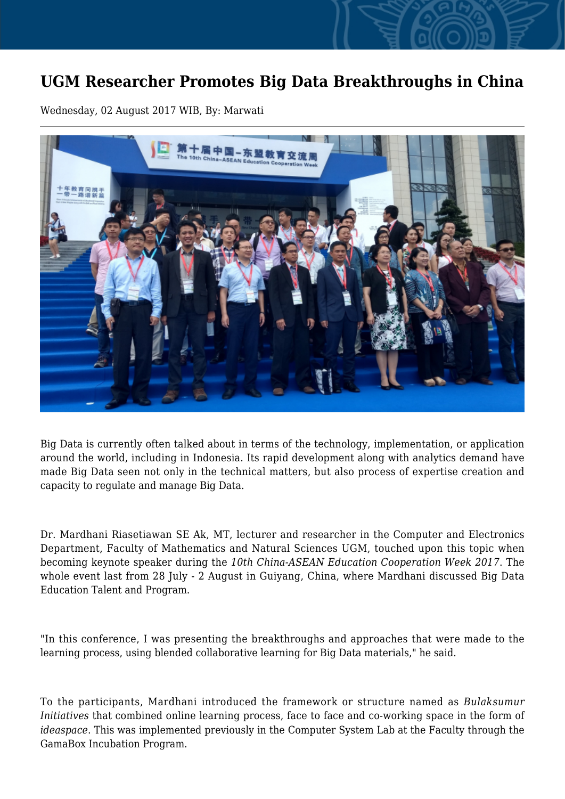## **UGM Researcher Promotes Big Data Breakthroughs in China**

Wednesday, 02 August 2017 WIB, By: Marwati



Big Data is currently often talked about in terms of the technology, implementation, or application around the world, including in Indonesia. Its rapid development along with analytics demand have made Big Data seen not only in the technical matters, but also process of expertise creation and capacity to regulate and manage Big Data.

Dr. Mardhani Riasetiawan SE Ak, MT, lecturer and researcher in the Computer and Electronics Department, Faculty of Mathematics and Natural Sciences UGM, touched upon this topic when becoming keynote speaker during the *10th China-ASEAN Education Cooperation Week 2017*. The whole event last from 28 July - 2 August in Guiyang, China, where Mardhani discussed Big Data Education Talent and Program.

"In this conference, I was presenting the breakthroughs and approaches that were made to the learning process, using blended collaborative learning for Big Data materials," he said.

To the participants, Mardhani introduced the framework or structure named as *Bulaksumur Initiatives* that combined online learning process, face to face and co-working space in the form of *ideaspace*. This was implemented previously in the Computer System Lab at the Faculty through the GamaBox Incubation Program.